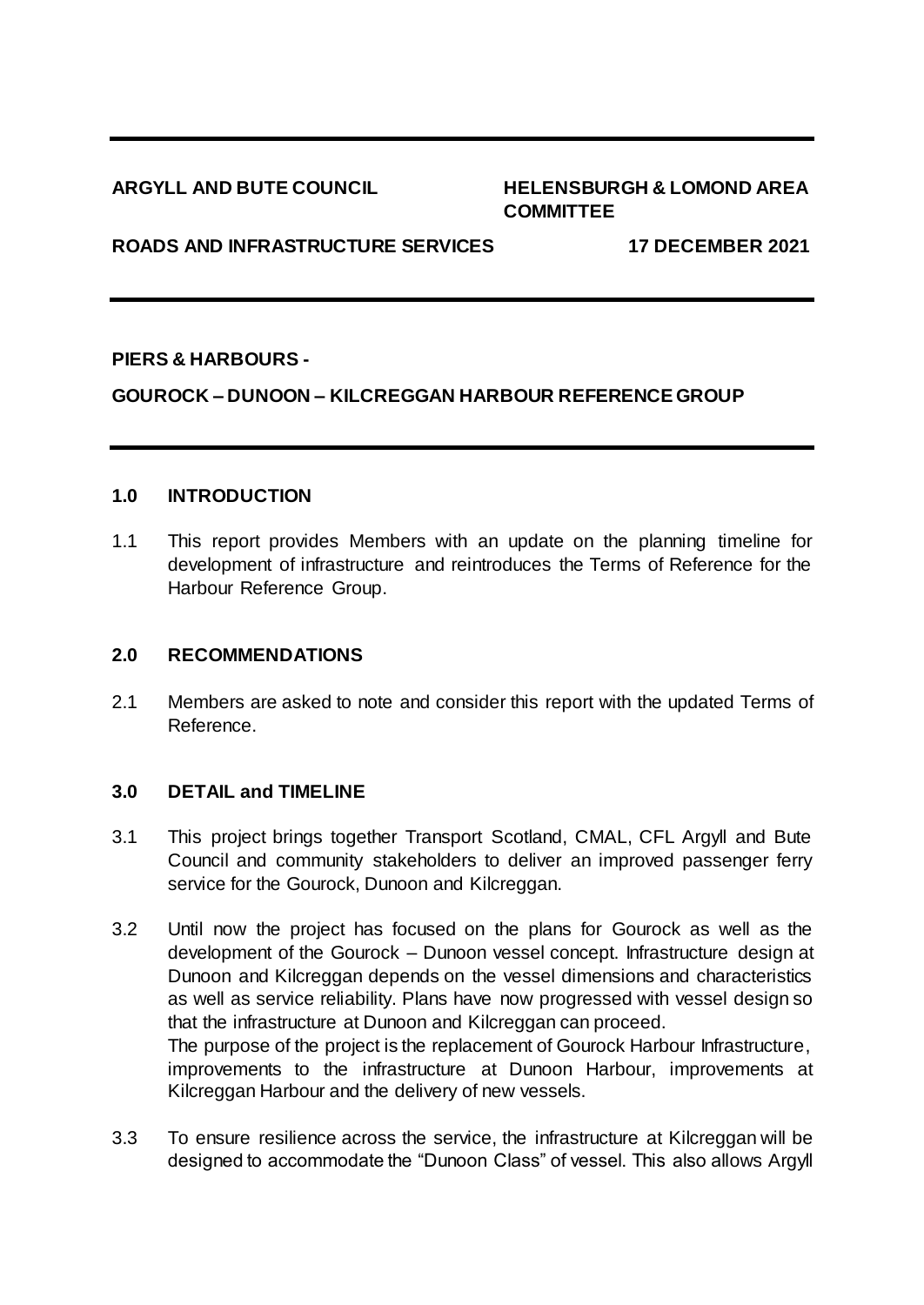## **ARGYLL AND BUTE COUNCIL HELENSBURGH & LOMOND AREA COMMITTEE**

#### **ROADS AND INFRASTRUCTURE SERVICES 17 DECEMBER 2021**

#### **PIERS & HARBOURS -**

#### **GOUROCK – DUNOON – KILCREGGAN HARBOUR REFERENCE GROUP**

#### **1.0 INTRODUCTION**

1.1 This report provides Members with an update on the planning timeline for development of infrastructure and reintroduces the Terms of Reference for the Harbour Reference Group.

#### **2.0 RECOMMENDATIONS**

2.1 Members are asked to note and consider this report with the updated Terms of Reference.

#### **3.0 DETAIL and TIMELINE**

- 3.1 This project brings together Transport Scotland, CMAL, CFL Argyll and Bute Council and community stakeholders to deliver an improved passenger ferry service for the Gourock, Dunoon and Kilcreggan.
- 3.2 Until now the project has focused on the plans for Gourock as well as the development of the Gourock – Dunoon vessel concept. Infrastructure design at Dunoon and Kilcreggan depends on the vessel dimensions and characteristics as well as service reliability. Plans have now progressed with vessel design so that the infrastructure at Dunoon and Kilcreggan can proceed. The purpose of the project is the replacement of Gourock Harbour Infrastructure, improvements to the infrastructure at Dunoon Harbour, improvements at Kilcreggan Harbour and the delivery of new vessels.
- 3.3 To ensure resilience across the service, the infrastructure at Kilcreggan will be designed to accommodate the "Dunoon Class" of vessel. This also allows Argyll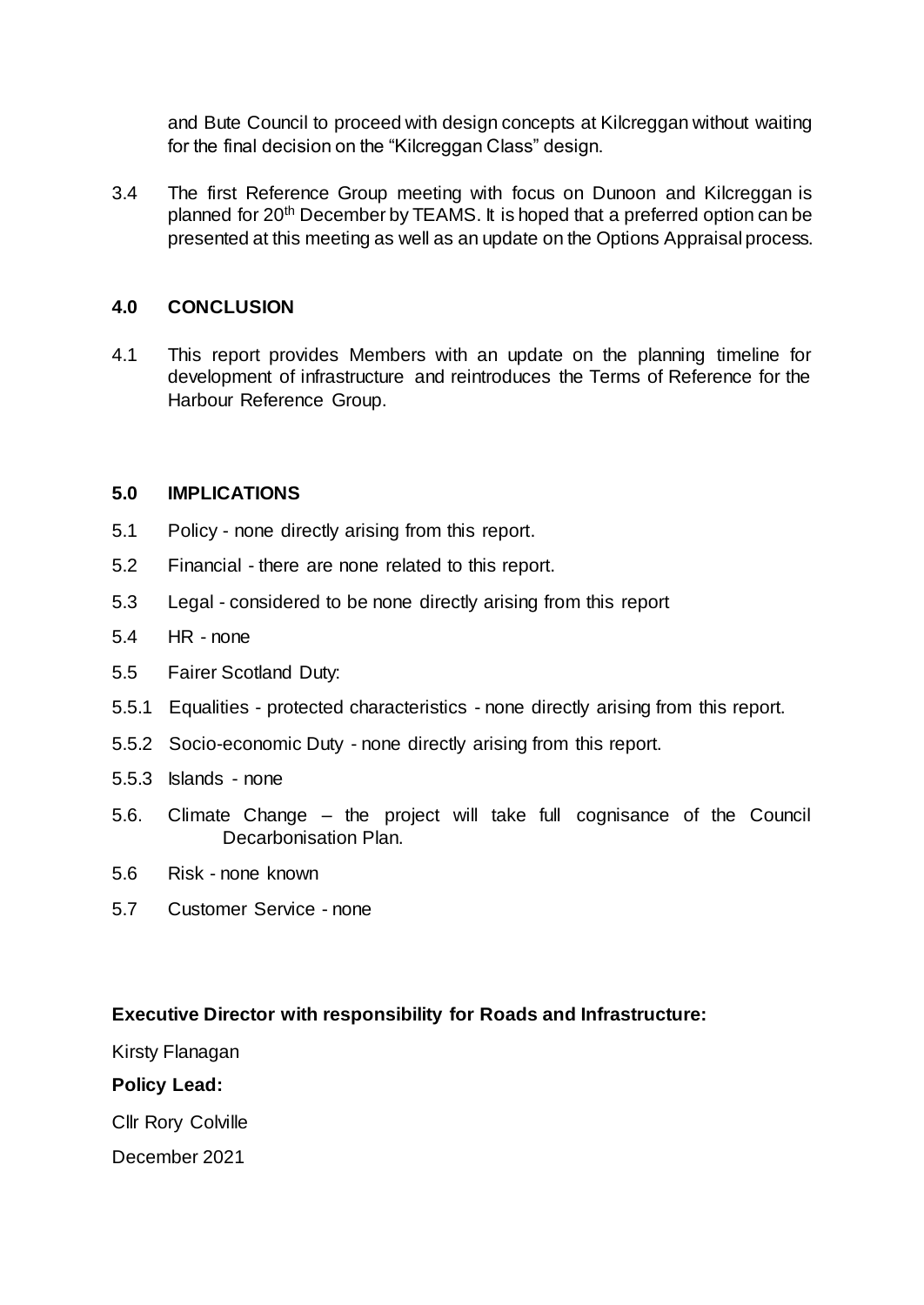and Bute Council to proceed with design concepts at Kilcreggan without waiting for the final decision on the "Kilcreggan Class" design.

3.4 The first Reference Group meeting with focus on Dunoon and Kilcreggan is planned for 20<sup>th</sup> December by TEAMS. It is hoped that a preferred option can be presented at this meeting as well as an update on the Options Appraisal process.

### **4.0 CONCLUSION**

4.1 This report provides Members with an update on the planning timeline for development of infrastructure and reintroduces the Terms of Reference for the Harbour Reference Group.

### **5.0 IMPLICATIONS**

- 5.1 Policy none directly arising from this report.
- 5.2 Financial there are none related to this report.
- 5.3 Legal considered to be none directly arising from this report
- 5.4 HR none
- 5.5 Fairer Scotland Duty:
- 5.5.1 Equalities protected characteristics none directly arising from this report.
- 5.5.2 Socio-economic Duty none directly arising from this report.
- 5.5.3 Islands none
- 5.6. Climate Change the project will take full cognisance of the Council Decarbonisation Plan.
- 5.6 Risk none known
- 5.7 Customer Service none

# **Executive Director with responsibility for Roads and Infrastructure:**

Kirsty Flanagan

### **Policy Lead:**

Cllr Rory Colville

December 2021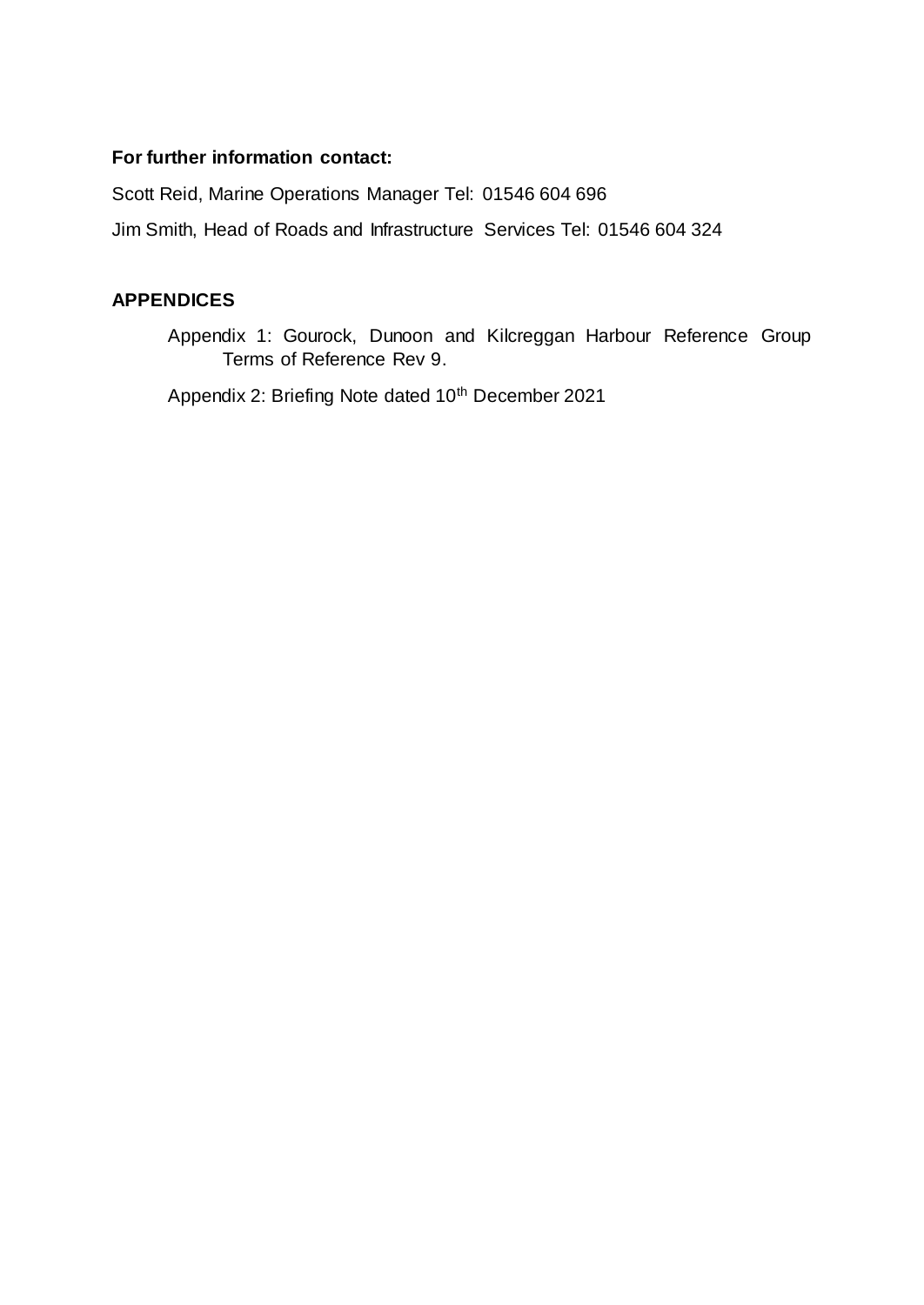## **For further information contact:**

Scott Reid, Marine Operations Manager Tel: 01546 604 696 Jim Smith, Head of Roads and Infrastructure Services Tel: 01546 604 324

# **APPENDICES**

Appendix 1: Gourock, Dunoon and Kilcreggan Harbour Reference Group Terms of Reference Rev 9.

Appendix 2: Briefing Note dated 10<sup>th</sup> December 2021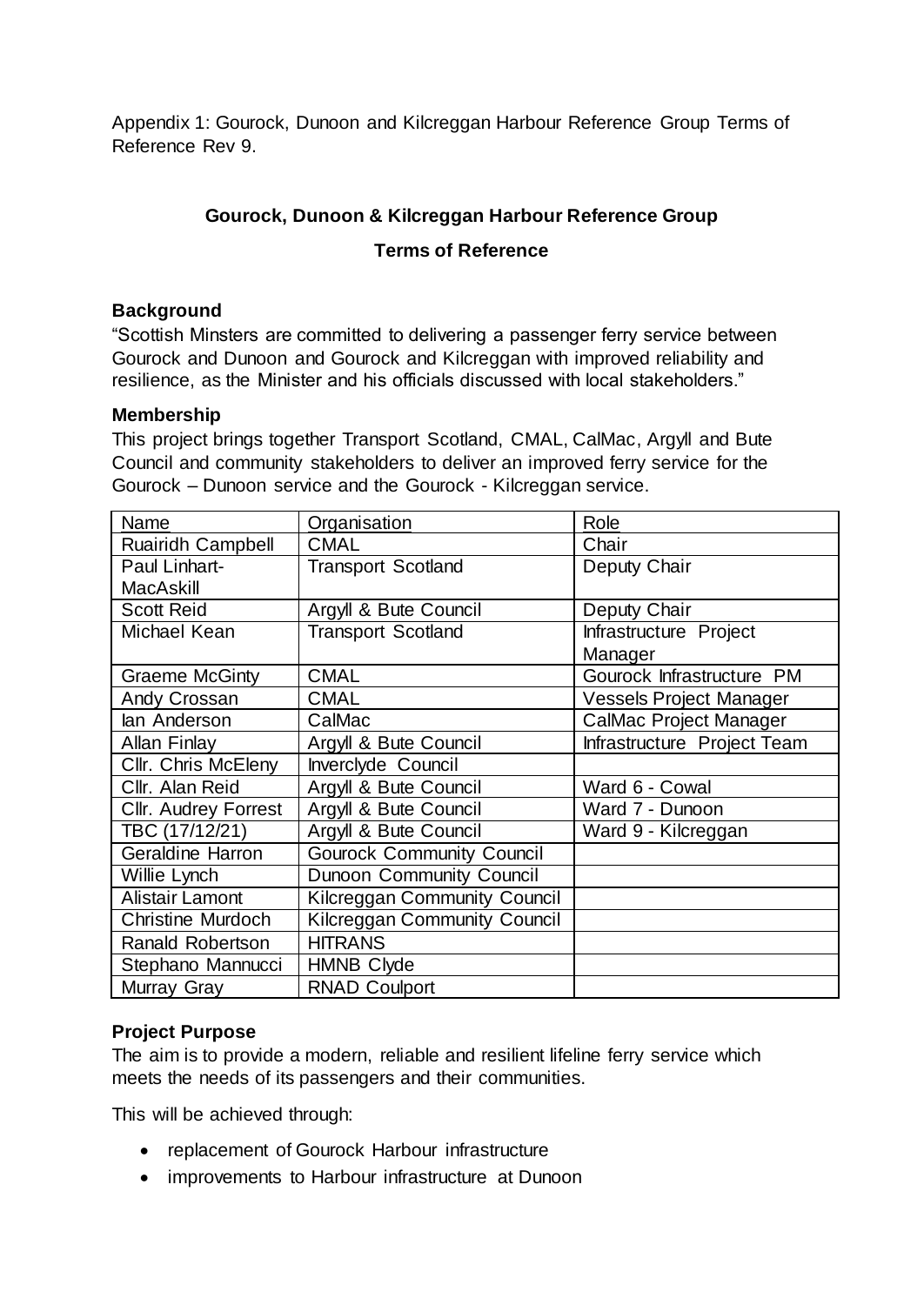Appendix 1: Gourock, Dunoon and Kilcreggan Harbour Reference Group Terms of Reference Rev 9.

# **Gourock, Dunoon & Kilcreggan Harbour Reference Group**

## **Terms of Reference**

## **Background**

"Scottish Minsters are committed to delivering a passenger ferry service between Gourock and Dunoon and Gourock and Kilcreggan with improved reliability and resilience, as the Minister and his officials discussed with local stakeholders."

### **Membership**

This project brings together Transport Scotland, CMAL, CalMac, Argyll and Bute Council and community stakeholders to deliver an improved ferry service for the Gourock – Dunoon service and the Gourock - Kilcreggan service.

| Name                        | Organisation                     | Role                           |
|-----------------------------|----------------------------------|--------------------------------|
| <b>Ruairidh Campbell</b>    | <b>CMAL</b>                      | Chair                          |
| Paul Linhart-               | <b>Transport Scotland</b>        | Deputy Chair                   |
| MacAskill                   |                                  |                                |
| <b>Scott Reid</b>           | Argyll & Bute Council            | Deputy Chair                   |
| Michael Kean                | <b>Transport Scotland</b>        | Infrastructure Project         |
|                             |                                  | Manager                        |
| <b>Graeme McGinty</b>       | <b>CMAL</b>                      | Gourock Infrastructure PM      |
| Andy Crossan                | <b>CMAL</b>                      | <b>Vessels Project Manager</b> |
| lan Anderson                | CalMac                           | <b>CalMac Project Manager</b>  |
| Allan Finlay                | Argyll & Bute Council            | Infrastructure Project Team    |
| Cllr. Chris McEleny         | Inverclyde Council               |                                |
| Cllr. Alan Reid             | Argyll & Bute Council            | Ward 6 - Cowal                 |
| <b>Cllr. Audrey Forrest</b> | Argyll & Bute Council            | Ward 7 - Dunoon                |
| TBC (17/12/21)              | Argyll & Bute Council            | Ward 9 - Kilcreggan            |
| Geraldine Harron            | <b>Gourock Community Council</b> |                                |
| Willie Lynch                | <b>Dunoon Community Council</b>  |                                |
| <b>Alistair Lamont</b>      | Kilcreggan Community Council     |                                |
| Christine Murdoch           | Kilcreggan Community Council     |                                |
| Ranald Robertson            | <b>HITRANS</b>                   |                                |
| Stephano Mannucci           | <b>HMNB Clyde</b>                |                                |
| Murray Gray                 | <b>RNAD Coulport</b>             |                                |

# **Project Purpose**

The aim is to provide a modern, reliable and resilient lifeline ferry service which meets the needs of its passengers and their communities.

This will be achieved through:

- replacement of Gourock Harbour infrastructure
- improvements to Harbour infrastructure at Dunoon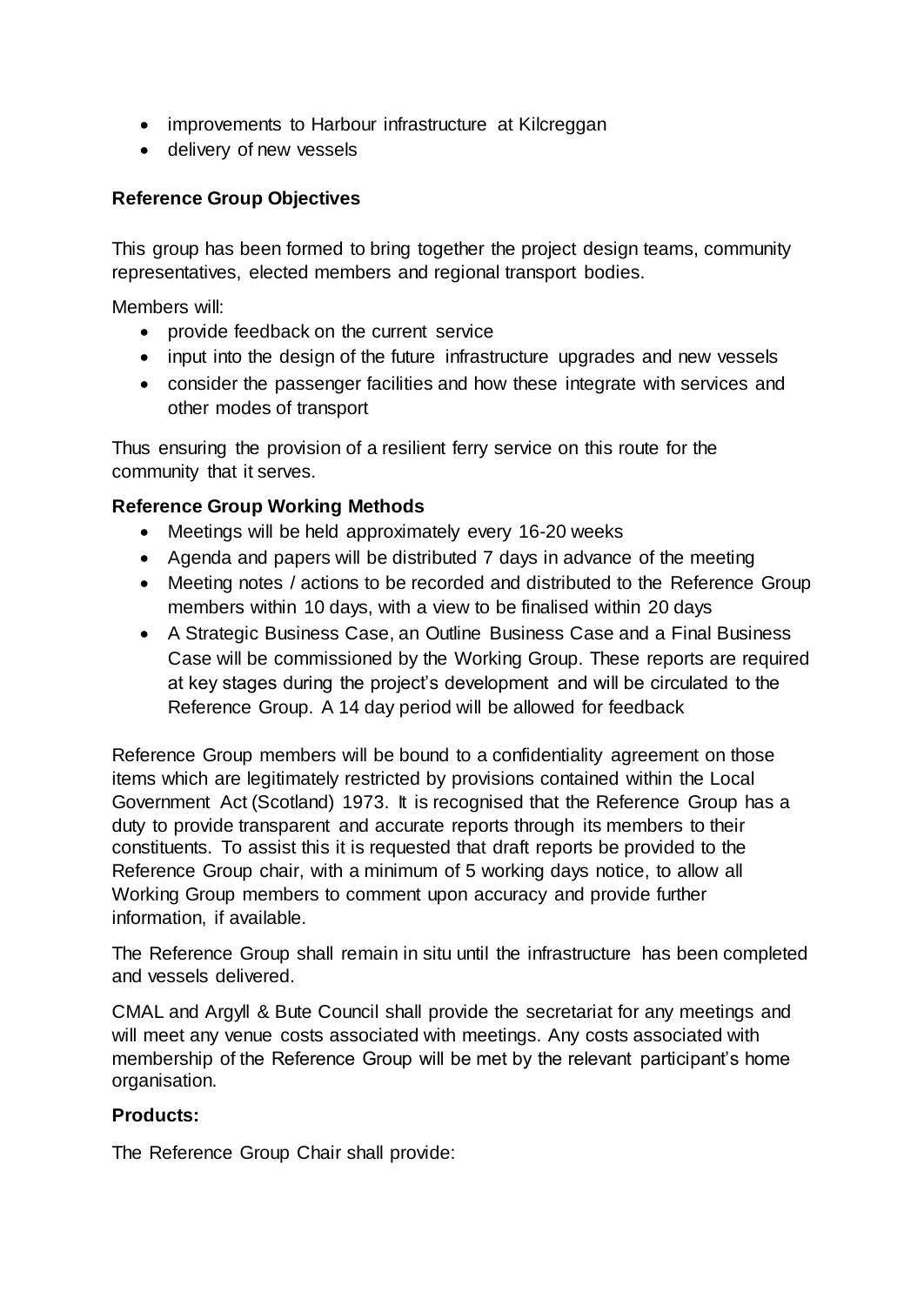- improvements to Harbour infrastructure at Kilcreggan
- delivery of new vessels

## **Reference Group Objectives**

This group has been formed to bring together the project design teams, community representatives, elected members and regional transport bodies.

Members will:

- provide feedback on the current service
- input into the design of the future infrastructure upgrades and new vessels
- consider the passenger facilities and how these integrate with services and other modes of transport

Thus ensuring the provision of a resilient ferry service on this route for the community that it serves.

## **Reference Group Working Methods**

- Meetings will be held approximately every 16-20 weeks
- Agenda and papers will be distributed 7 days in advance of the meeting
- Meeting notes / actions to be recorded and distributed to the Reference Group members within 10 days, with a view to be finalised within 20 days
- A Strategic Business Case, an Outline Business Case and a Final Business Case will be commissioned by the Working Group. These reports are required at key stages during the project's development and will be circulated to the Reference Group. A 14 day period will be allowed for feedback

Reference Group members will be bound to a confidentiality agreement on those items which are legitimately restricted by provisions contained within the Local Government Act (Scotland) 1973. It is recognised that the Reference Group has a duty to provide transparent and accurate reports through its members to their constituents. To assist this it is requested that draft reports be provided to the Reference Group chair, with a minimum of 5 working days notice, to allow all Working Group members to comment upon accuracy and provide further information, if available.

The Reference Group shall remain in situ until the infrastructure has been completed and vessels delivered.

CMAL and Argyll & Bute Council shall provide the secretariat for any meetings and will meet any venue costs associated with meetings. Any costs associated with membership of the Reference Group will be met by the relevant participant's home organisation.

## **Products:**

The Reference Group Chair shall provide: